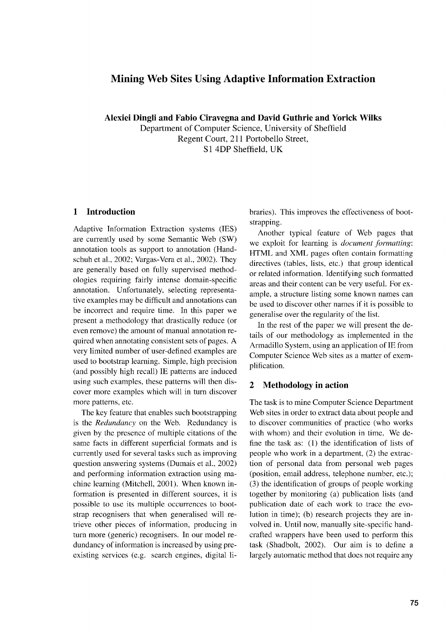# **Mining Web Sites Using Adaptive Information Extraction**

**Alexiei Dingli and Fabio Ciravegna and David Guthrie and Yorick Wilks** Department of Computer Science, University of Sheffield Regent Court, 211 Portobello Street, Si 4DP Sheffield, UK

## **1 Introduction**

Adaptive Information Extraction systems (IES) are currently used by some Semantic Web (SW) annotation tools as support to annotation (Handschuh et al., 2002; Vargas-Vera et al., 2002). They are generally based on fully supervised methodologies requiring fairly intense domain-specific annotation. Unfortunately, selecting representative examples may be difficult and annotations can be incorrect and require time. In this paper we present a methodology that drastically reduce (or even remove) the amount of manual annotation required when annotating consistent sets of pages. A very limited number of user-defined examples are used to bootstrap learning. Simple, high precision (and possibly high recall) IE patterns are induced using such examples, these patterns will then discover more examples which will in turn discover more patterns, etc.

The key feature that enables such bootstrapping is the *Redundancy* on the Web. Redundancy is given by the presence of multiple citations of the same facts in different superficial formats and is currently used for several tasks such as improving question answering systems (Dumais et al., 2002) and performing information extraction using machine learning (Mitchell, 2001). When known information is presented in different sources, it is possible to use its multiple occurrences to bootstrap recognisers that when generalised will retrieve other pieces of information, producing in turn more (generic) recognisers. In our model redundancy of information is increased by using preexisting services (e.g. search engines, digital libraries). This improves the effectiveness of bootstrapping.

Another typical feature of Web pages that we exploit for learning is *document formatting:* HTML and XML pages often contain formatting directives (tables, lists, etc.) that group identical or related information. Identifying such formatted areas and their content can be very useful. For example, a structure listing some known names can be used to discover other names if it is possible to generalise over the regularity of the list.

In the rest of the paper we will present the details of our methodology as implemented in the Armadillo System, using an application of IE from Computer Science Web sites as a matter of exemplification.

#### **2 Methodology in action**

The task is to mine Computer Science Department Web sites in order to extract data about people and to discover communities of practice (who works with whom) and their evolution in time. We define the task as: (1) the identification of lists of people who work in a department, (2) the extraction of personal data from personal web pages (position, email address, telephone number, etc.); (3) the identification of groups of people working together by monitoring (a) publication lists (and publication date of each work to trace the evolution in time); (b) research projects they are involved in. Until now, manually site-specific handcrafted wrappers have been used to perform this task (Shadbolt, 2002). Our aim is to define a largely automatic method that does not require any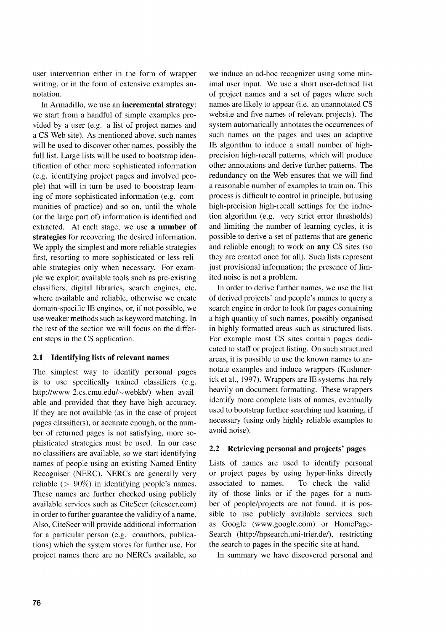user intervention either in the form of wrapper writing, or in the form of extensive examples annotation.

In Armadillo, we use an **incremental strategy:** we start from a handful of simple examples provided by a user (e.g. a list of project names and a CS Web site). As mentioned above, such names will be used to discover other names, possibly the full list. Large lists will be used to bootstrap identification of other more sophisticated information (e.g. identifying project pages and involved people) that will in turn be used to bootstrap learning of more sophisticated information (e.g. communities of practice) and so on, until the whole (or the large part of) information is identified and extracted. At each stage, we use **a number of strategies** for recovering the desired information. We apply the simplest and more reliable strategies first, resorting to more sophisticated or less reliable strategies only when necessary. For example we exploit available tools such as pre-existing classifiers, digital libraries, search engines, etc. where available and reliable, otherwise we create domain-specific **IE** engines, or, if not possible, we use weaker methods such as keyword matching. In the rest of the section we will focus on the different steps in the CS application.

#### **2.1 Identifying lists of relevant names**

The simplest way to identify personal pages is to use specifically trained classifiers (e.g. http://www-2.cs.cmu.edu/—webkb/) when available and provided that they have high accuracy. If they are not available (as in the case of project pages classifiers), or accurate enough, or the number of returned pages is not satisfying, more sophisticated strategies must be used. In our case no classifiers are available, so we start identifying names of people using an existing Named Entity Recogniser (NERC). NERCs are generally very reliable ( $> 90\%$ ) in identifying people's names. These names are further checked using publicly available services such as CiteSeer (citeseer.com) in order to further guarantee the validity of a name. Also, CiteSeer will provide additional information for a particular person (e.g. coauthors, publications) which the system stores for further use. For project names there are no NERCs available, so

we induce an ad-hoc recognizer using some minimal user input. We use a short user-defined list of project names and a set of pages where such names are likely to appear (i.e. an unannotated CS website and five names of relevant projects). The system automatically annotates the occurrences of such names on the pages and uses an adaptive **IE** algorithm to induce a small number of highprecision high-recall patterns, which will produce other annotations and derive further patterns. The redundancy on the Web ensures that we will find a reasonable number of examples to train on. This process is difficult to control in principle, but using high-precision high-recall settings for the induction algorithm (e.g. very strict error thresholds) and limiting the number of learning cycles, it is possible to derive a set of patterns that are generic and reliable enough to work on **any** CS sites (so they are created once for all). Such lists represent just provisional information; the presence of limited noise is not a problem.

In order to derive further names, we use the list of derived projects' and people's names to query a search engine in order to look for pages containing a high quantity of such names, possibly organised in highly formatted areas such as structured lists. For example most CS sites contain pages dedicated to staff or project listing. On such structured areas, it is possible to use the known names to annotate examples and induce wrappers (Kushmerick et al., 1997). Wrappers are IE systems that rely heavily on document formatting. These wrappers identify more complete lists of names, eventually used to bootstrap further searching and learning, if necessary (using only highly reliable examples to avoid noise).

## **2.2 Retrieving personal and projects' pages**

Lists of names are used to identify personal or project pages by using hyper-links directly associated to names. To check the validity of those links or if the pages for a number of people/projects are not found, it is possible to use publicly available services such as Google (www.google.com) or HomePage-Search (http://hpsearch.uni-trier.de/), restricting the search to pages in the specific site at hand.

In summary we have discovered personal and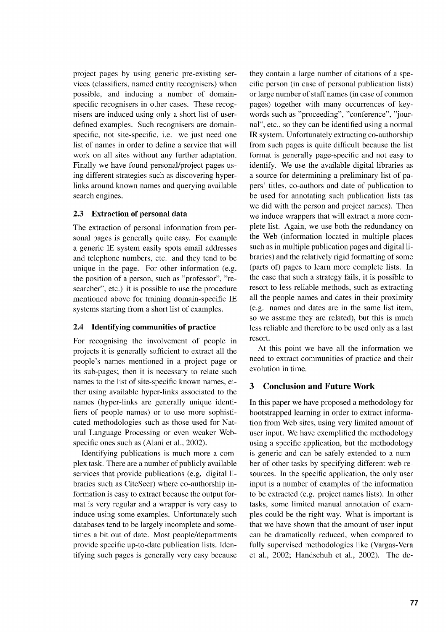project pages by using generic pre-existing services (classifiers, named entity recognisers) when possible, and inducing a number of domainspecific recognisers in other cases. These recognisers are induced using only a short list of userdefined examples. Such recognisers are domainspecific, not site-specific, i.e. we just need one list of names in order to define a service that will work on all sites without any further adaptation. Finally we have found personal/project pages using different strategies such as discovering hyperlinks around known names and querying available search engines.

### **2.3 Extraction of personal data**

The extraction of personal information from personal pages is generally quite easy. For example a generic IE system easily spots email addresses and telephone numbers, etc. and they tend to be unique in the page. For other information (e.g. the position of a person, such as "professor", "researcher", etc.) it is possible to use the procedure mentioned above for training domain-specific **IE** systems starting from a short list of examples.

#### **2.4 Identifying communities of practice**

For recognising the involvement of people in projects it is generally sufficient to extract all the people's names mentioned in a project page or its sub-pages; then it is necessary to relate such names to the list of site-specific known names, either using available hyper-links associated to the names (hyper-links are generally unique identifiers of people names) or to use more sophisticated methodologies such as those used for Natural Language Processing or even weaker Webspecific ones such as (Alani et al., 2002).

Identifying publications is much more a complex task. There are a number of publicly available services that provide publications (e.g. digital libraries such as CiteSeer) where co-authorship information is easy to extract because the output format is very regular and a wrapper is very easy to induce using some examples. Unfortunately such databases tend to be largely incomplete and sometimes a bit out of date. Most people/departments provide specific up-to-date publication lists. Identifying such pages is generally very easy because

they contain a large number of citations of a specific person (in case of personal publication lists) or large number of staff names (in case of common pages) together with many occurrences of keywords such as "proceeding", "conference", "journal", etc., so they can be identified using a normal **IR** system. Unfortunately extracting co-authorship from such pages is quite difficult because the list format is generally page-specific and not easy to identify. We use the available digital libraries as a source for determining a preliminary list of papers' titles, co-authors and date of publication to be used for annotating such publication lists (as we did with the person and project names). Then we induce wrappers that will extract a more complete list. Again, we use both the redundancy on the Web (information located in multiple places such as in multiple publication pages and digital libraries) and the relatively rigid formatting of some (parts of) pages to learn more complete lists. In the case that such a strategy fails, it is possible to resort to less reliable methods, such as extracting all the people names and dates in their proximity (e.g. names and dates are in the same list item, so we assume they are related), but this is much less reliable and therefore to be used only as a last resort.

At this point we have all the information we need to extract communities of practice and their evolution in time.

## **3 Conclusion and Future Work**

In this paper we have proposed a methodology for bootstrapped learning in order to extract information from Web sites, using very limited amount of user input. We have exemplified the methodology using a specific application, but the methodology is generic and can be safely extended to a number of other tasks by specifying different web resources. In the specific application, the only user input is a number of examples of the information to be extracted (e.g. project names lists). In other tasks, some limited manual annotation of examples could be the right way. What is important is that we have shown that the amount of user input can be dramatically reduced, when compared to fully supervised methodologies like (Vargas-Vera et al., 2002; Handschuh et al., 2002). The de